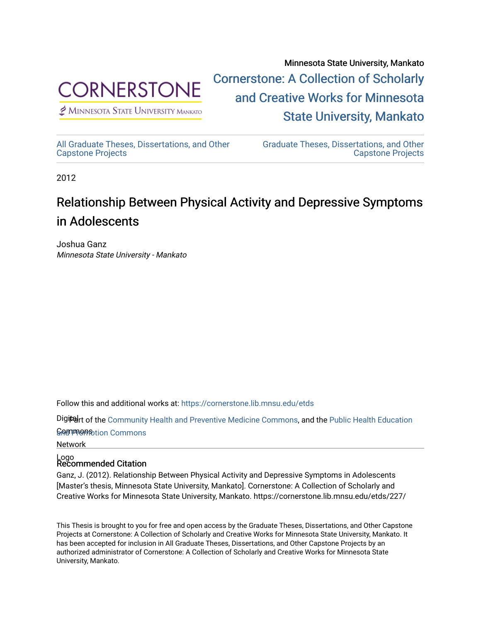

 $<sup>2</sup>$  Minnesota State University Mankato</sup>

Minnesota State University, Mankato [Cornerstone: A Collection of Scholarly](https://cornerstone.lib.mnsu.edu/)  [and Creative Works for Minnesota](https://cornerstone.lib.mnsu.edu/)  [State University, Mankato](https://cornerstone.lib.mnsu.edu/) 

[All Graduate Theses, Dissertations, and Other](https://cornerstone.lib.mnsu.edu/etds)  [Capstone Projects](https://cornerstone.lib.mnsu.edu/etds) 

[Graduate Theses, Dissertations, and Other](https://cornerstone.lib.mnsu.edu/theses_dissertations-capstone)  [Capstone Projects](https://cornerstone.lib.mnsu.edu/theses_dissertations-capstone) 

2012

# Relationship Between Physical Activity and Depressive Symptoms in Adolescents

Joshua Ganz Minnesota State University - Mankato

Follow this and additional works at: [https://cornerstone.lib.mnsu.edu/etds](https://cornerstone.lib.mnsu.edu/etds?utm_source=cornerstone.lib.mnsu.edu%2Fetds%2F227&utm_medium=PDF&utm_campaign=PDFCoverPages) 

Digiter of the [Community Health and Preventive Medicine Commons](http://network.bepress.com/hgg/discipline/744?utm_source=cornerstone.lib.mnsu.edu%2Fetds%2F227&utm_medium=PDF&utm_campaign=PDFCoverPages), and the [Public Health Education](http://network.bepress.com/hgg/discipline/743?utm_source=cornerstone.lib.mnsu.edu%2Fetds%2F227&utm_medium=PDF&utm_campaign=PDFCoverPages)

ନିର୍ଯ୍ୟାମ୍ପର୍ ନିର୍ମାରୀ Commons

Network

# Logo Recommended Citation

Ganz, J. (2012). Relationship Between Physical Activity and Depressive Symptoms in Adolescents [Master's thesis, Minnesota State University, Mankato]. Cornerstone: A Collection of Scholarly and Creative Works for Minnesota State University, Mankato. https://cornerstone.lib.mnsu.edu/etds/227/

This Thesis is brought to you for free and open access by the Graduate Theses, Dissertations, and Other Capstone Projects at Cornerstone: A Collection of Scholarly and Creative Works for Minnesota State University, Mankato. It has been accepted for inclusion in All Graduate Theses, Dissertations, and Other Capstone Projects by an authorized administrator of Cornerstone: A Collection of Scholarly and Creative Works for Minnesota State University, Mankato.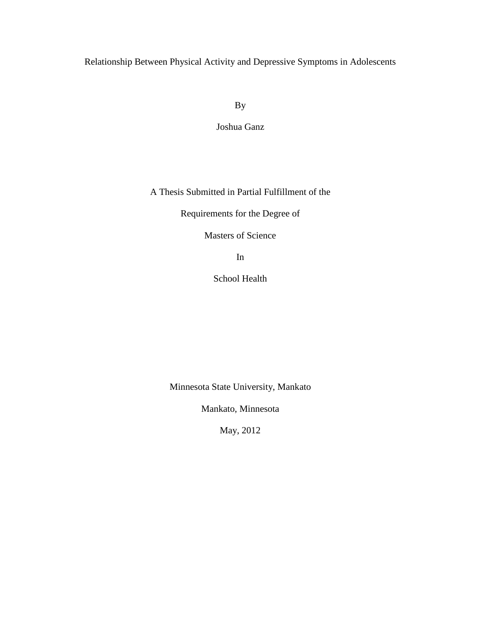Relationship Between Physical Activity and Depressive Symptoms in Adolescents

By

Joshua Ganz

A Thesis Submitted in Partial Fulfillment of the

Requirements for the Degree of

Masters of Science

In

School Health

Minnesota State University, Mankato

Mankato, Minnesota

May, 2012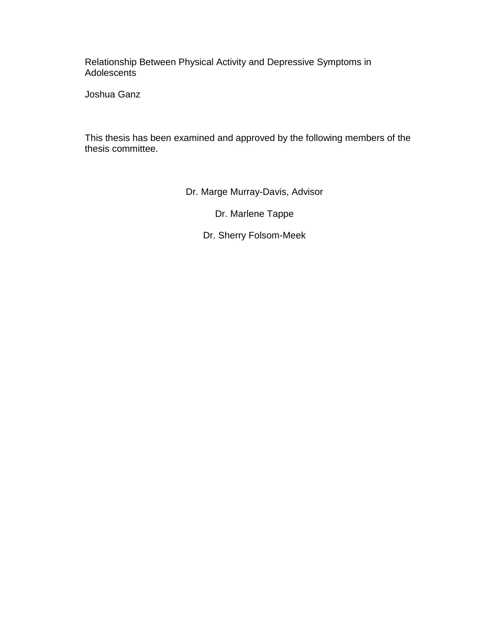Relationship Between Physical Activity and Depressive Symptoms in Adolescents

Joshua Ganz

This thesis has been examined and approved by the following members of the thesis committee.

Dr. Marge Murray-Davis, Advisor

Dr. Marlene Tappe

Dr. Sherry Folsom-Meek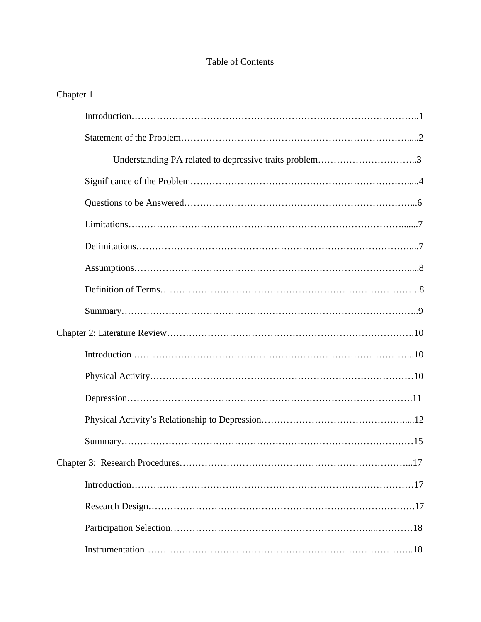# Table of Contents

# Chapter 1

| Understanding PA related to depressive traits problem3 |
|--------------------------------------------------------|
|                                                        |
|                                                        |
|                                                        |
|                                                        |
|                                                        |
|                                                        |
|                                                        |
|                                                        |
|                                                        |
|                                                        |
|                                                        |
|                                                        |
|                                                        |
|                                                        |
|                                                        |
|                                                        |
|                                                        |
|                                                        |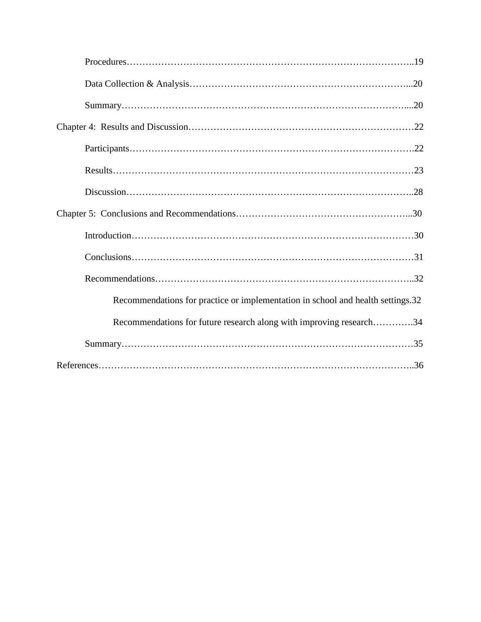| Recommendations for practice or implementation in school and health settings.32 |
|---------------------------------------------------------------------------------|
| Recommendations for future research along with improving research34             |
|                                                                                 |
|                                                                                 |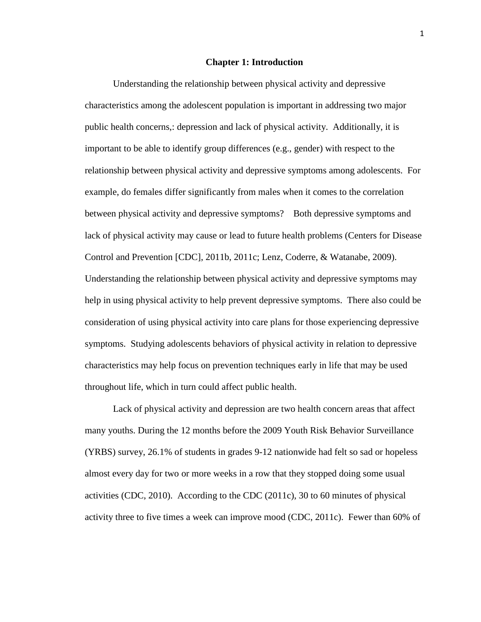#### **Chapter 1: Introduction**

Understanding the relationship between physical activity and depressive characteristics among the adolescent population is important in addressing two major public health concerns,: depression and lack of physical activity. Additionally, it is important to be able to identify group differences (e.g., gender) with respect to the relationship between physical activity and depressive symptoms among adolescents. For example, do females differ significantly from males when it comes to the correlation between physical activity and depressive symptoms? Both depressive symptoms and lack of physical activity may cause or lead to future health problems (Centers for Disease Control and Prevention [CDC], 2011b, 2011c; Lenz, Coderre, & Watanabe, 2009). Understanding the relationship between physical activity and depressive symptoms may help in using physical activity to help prevent depressive symptoms. There also could be consideration of using physical activity into care plans for those experiencing depressive symptoms. Studying adolescents behaviors of physical activity in relation to depressive characteristics may help focus on prevention techniques early in life that may be used throughout life, which in turn could affect public health.

Lack of physical activity and depression are two health concern areas that affect many youths. During the 12 months before the 2009 Youth Risk Behavior Surveillance (YRBS) survey, 26.1% of students in grades 9-12 nationwide had felt so sad or hopeless almost every day for two or more weeks in a row that they stopped doing some usual activities (CDC, 2010). According to the CDC (2011c), 30 to 60 minutes of physical activity three to five times a week can improve mood (CDC, 2011c). Fewer than 60% of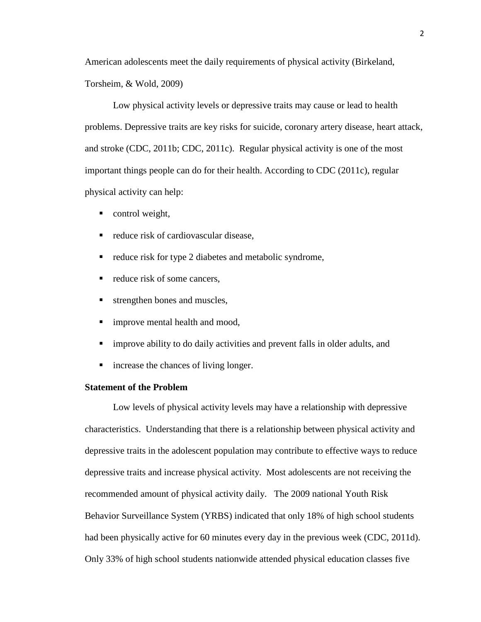American adolescents meet the daily requirements of physical activity (Birkeland, Torsheim, & Wold, 2009)

Low physical activity levels or depressive traits may cause or lead to health problems. Depressive traits are key risks for suicide, coronary artery disease, heart attack, and stroke (CDC, 2011b; CDC, 2011c). Regular physical activity is one of the most important things people can do for their health. According to CDC (2011c), regular physical activity can help:

- control weight,
- reduce risk of cardiovascular disease.
- $\blacksquare$  reduce risk for type 2 diabetes and metabolic syndrome,
- $\blacksquare$  reduce risk of some cancers,
- **strengthen bones and muscles,**
- **improve mental health and mood,**
- improve ability to do daily activities and prevent falls in older adults, and
- **i** increase the chances of living longer.

## **Statement of the Problem**

Low levels of physical activity levels may have a relationship with depressive characteristics. Understanding that there is a relationship between physical activity and depressive traits in the adolescent population may contribute to effective ways to reduce depressive traits and increase physical activity. Most adolescents are not receiving the recommended amount of physical activity daily. The 2009 national Youth Risk Behavior Surveillance System (YRBS) indicated that only 18% of high school students had been physically active for 60 minutes every day in the previous week (CDC, 2011d). Only 33% of high school students nationwide attended physical education classes five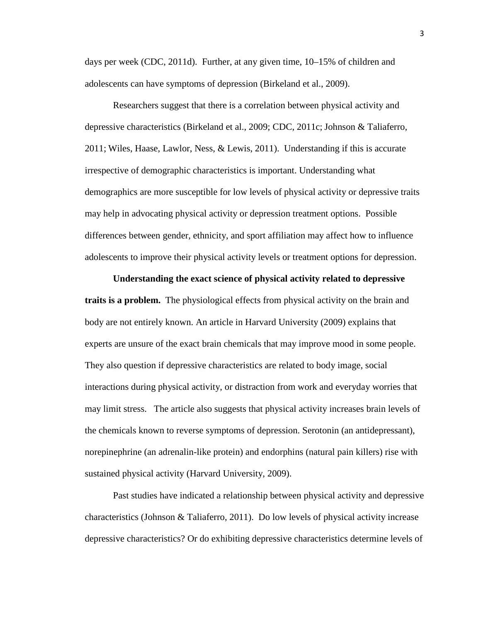days per week (CDC, 2011d). Further, at any given time, 10–15% of children and adolescents can have symptoms of depression (Birkeland et al., 2009).

Researchers suggest that there is a correlation between physical activity and depressive characteristics (Birkeland et al., 2009; CDC, 2011c; Johnson & Taliaferro, 2011; Wiles, Haase, Lawlor, Ness, & Lewis, 2011). Understanding if this is accurate irrespective of demographic characteristics is important. Understanding what demographics are more susceptible for low levels of physical activity or depressive traits may help in advocating physical activity or depression treatment options. Possible differences between gender, ethnicity, and sport affiliation may affect how to influence adolescents to improve their physical activity levels or treatment options for depression.

**Understanding the exact science of physical activity related to depressive traits is a problem.** The physiological effects from physical activity on the brain and body are not entirely known. An article in Harvard University (2009) explains that experts are unsure of the exact brain chemicals that may improve mood in some people. They also question if depressive characteristics are related to body image, social interactions during physical activity, or distraction from work and everyday worries that may limit stress. The article also suggests that physical activity increases brain levels of the chemicals known to reverse symptoms of depression. Serotonin (an antidepressant), norepinephrine (an adrenalin-like protein) and endorphins (natural pain killers) rise with sustained physical activity (Harvard University, 2009).

Past studies have indicated a relationship between physical activity and depressive characteristics (Johnson & Taliaferro, 2011). Do low levels of physical activity increase depressive characteristics? Or do exhibiting depressive characteristics determine levels of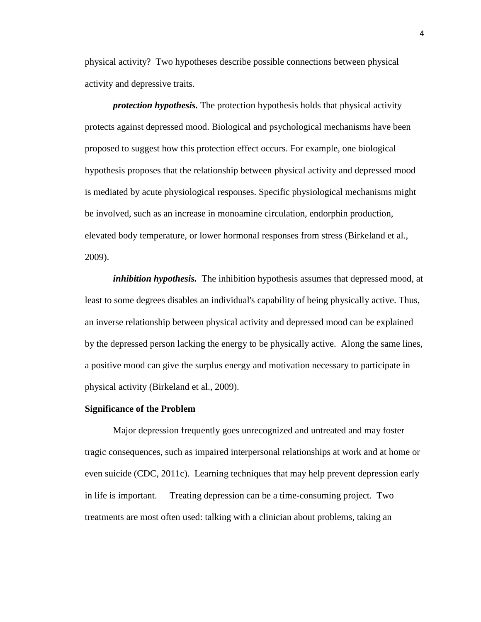physical activity? Two hypotheses describe possible connections between physical activity and depressive traits.

*protection hypothesis.* The protection hypothesis holds that physical activity protects against depressed mood. Biological and psychological mechanisms have been proposed to suggest how this protection effect occurs. For example, one biological hypothesis proposes that the relationship between physical activity and depressed mood is mediated by acute physiological responses. Specific physiological mechanisms might be involved, such as an increase in monoamine circulation, endorphin production, elevated body temperature, or lower hormonal responses from stress (Birkeland et al., 2009).

*inhibition hypothesis.* The inhibition hypothesis assumes that depressed mood, at least to some degrees disables an individual's capability of being physically active. Thus, an inverse relationship between physical activity and depressed mood can be explained by the depressed person lacking the energy to be physically active. Along the same lines, a positive mood can give the surplus energy and motivation necessary to participate in physical activity (Birkeland et al., 2009).

#### **Significance of the Problem**

Major depression frequently goes unrecognized and untreated and may foster tragic consequences, such as impaired interpersonal relationships at work and at home or even suicide (CDC, 2011c). Learning techniques that may help prevent depression early in life is important. Treating depression can be a time-consuming project. Two treatments are most often used: talking with a clinician about problems, taking an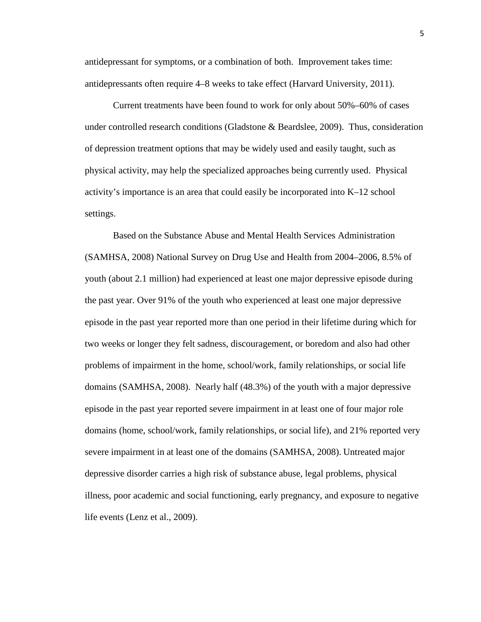antidepressant for symptoms, or a combination of both. Improvement takes time: antidepressants often require 4–8 weeks to take effect (Harvard University, 2011).

Current treatments have been found to work for only about 50%–60% of cases under controlled research conditions (Gladstone & Beardslee, 2009). Thus, consideration of depression treatment options that may be widely used and easily taught, such as physical activity, may help the specialized approaches being currently used. Physical activity's importance is an area that could easily be incorporated into K–12 school settings.

Based on the Substance Abuse and Mental Health Services Administration (SAMHSA, 2008) National Survey on Drug Use and Health from 2004–2006, 8.5% of youth (about 2.1 million) had experienced at least one major depressive episode during the past year. Over 91% of the youth who experienced at least one major depressive episode in the past year reported more than one period in their lifetime during which for two weeks or longer they felt sadness, discouragement, or boredom and also had other problems of impairment in the home, school/work, family relationships, or social life domains (SAMHSA, 2008). Nearly half (48.3%) of the youth with a major depressive episode in the past year reported severe impairment in at least one of four major role domains (home, school/work, family relationships, or social life), and 21% reported very severe impairment in at least one of the domains (SAMHSA, 2008). Untreated major depressive disorder carries a high risk of substance abuse, legal problems, physical illness, poor academic and social functioning, early pregnancy, and exposure to negative life events (Lenz et al., 2009).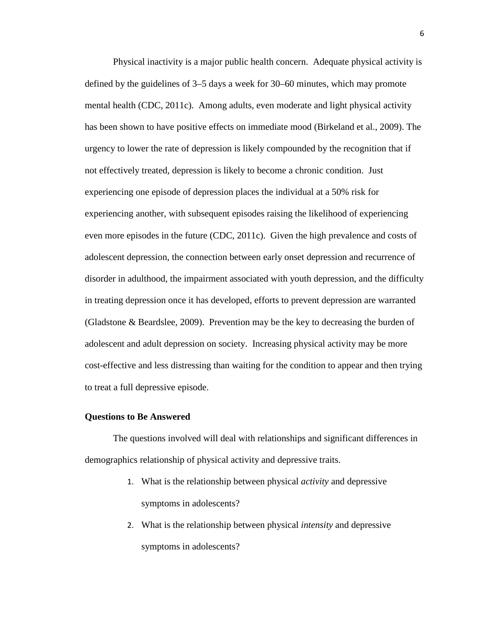Physical inactivity is a major public health concern. Adequate physical activity is defined by the guidelines of 3–5 days a week for 30–60 minutes, which may promote mental health (CDC, 2011c). Among adults, even moderate and light physical activity has been shown to have positive effects on immediate mood (Birkeland et al., 2009). The urgency to lower the rate of depression is likely compounded by the recognition that if not effectively treated, depression is likely to become a chronic condition. Just experiencing one episode of depression places the individual at a 50% risk for experiencing another, with subsequent episodes raising the likelihood of experiencing even more episodes in the future (CDC, 2011c). Given the high prevalence and costs of adolescent depression, the connection between early onset depression and recurrence of disorder in adulthood, the impairment associated with youth depression, and the difficulty in treating depression once it has developed, efforts to prevent depression are warranted (Gladstone & Beardslee, 2009). Prevention may be the key to decreasing the burden of adolescent and adult depression on society. Increasing physical activity may be more cost-effective and less distressing than waiting for the condition to appear and then trying to treat a full depressive episode.

#### **Questions to Be Answered**

The questions involved will deal with relationships and significant differences in demographics relationship of physical activity and depressive traits.

- 1. What is the relationship between physical *activity* and depressive symptoms in adolescents?
- 2. What is the relationship between physical *intensity* and depressive symptoms in adolescents?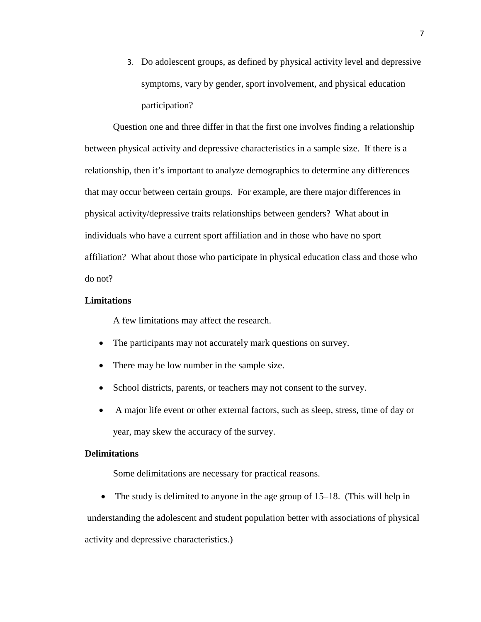3. Do adolescent groups, as defined by physical activity level and depressive symptoms, vary by gender, sport involvement, and physical education participation?

Question one and three differ in that the first one involves finding a relationship between physical activity and depressive characteristics in a sample size. If there is a relationship, then it's important to analyze demographics to determine any differences that may occur between certain groups. For example, are there major differences in physical activity/depressive traits relationships between genders? What about in individuals who have a current sport affiliation and in those who have no sport affiliation? What about those who participate in physical education class and those who do not?

## **Limitations**

A few limitations may affect the research.

- The participants may not accurately mark questions on survey.
- There may be low number in the sample size.
- School districts, parents, or teachers may not consent to the survey.
- A major life event or other external factors, such as sleep, stress, time of day or year, may skew the accuracy of the survey.

## **Delimitations**

Some delimitations are necessary for practical reasons.

• The study is delimited to anyone in the age group of 15–18. (This will help in

 understanding the adolescent and student population better with associations of physical activity and depressive characteristics.)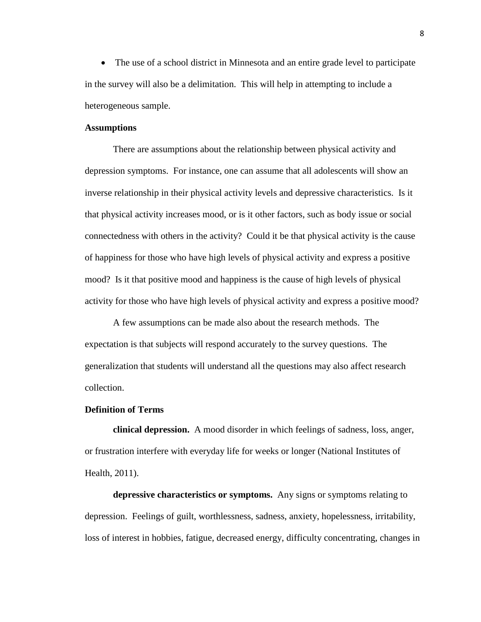• The use of a school district in Minnesota and an entire grade level to participate in the survey will also be a delimitation. This will help in attempting to include a heterogeneous sample.

## **Assumptions**

There are assumptions about the relationship between physical activity and depression symptoms. For instance, one can assume that all adolescents will show an inverse relationship in their physical activity levels and depressive characteristics. Is it that physical activity increases mood, or is it other factors, such as body issue or social connectedness with others in the activity? Could it be that physical activity is the cause of happiness for those who have high levels of physical activity and express a positive mood? Is it that positive mood and happiness is the cause of high levels of physical activity for those who have high levels of physical activity and express a positive mood?

A few assumptions can be made also about the research methods. The expectation is that subjects will respond accurately to the survey questions. The generalization that students will understand all the questions may also affect research collection.

### **Definition of Terms**

**clinical depression.** A mood disorder in which feelings of sadness, loss, anger, or frustration interfere with everyday life for weeks or longer (National Institutes of Health, 2011).

**depressive characteristics or symptoms.** Any signs or symptoms relating to depression. Feelings of guilt, worthlessness, sadness, anxiety, hopelessness, irritability, loss of interest in hobbies, fatigue, decreased energy, difficulty concentrating, changes in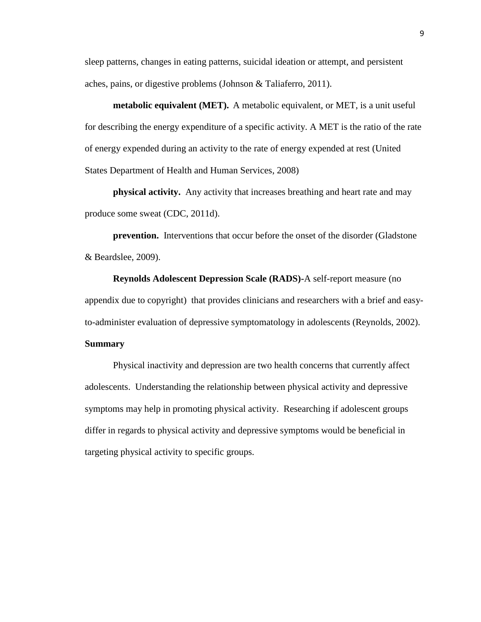sleep patterns, changes in eating patterns, suicidal ideation or attempt, and persistent aches, pains, or digestive problems (Johnson & Taliaferro, 2011).

**metabolic equivalent (MET).** A metabolic equivalent, or MET, is a unit useful for describing the energy expenditure of a specific activity. A MET is the ratio of the rate of energy expended during an activity to the rate of energy expended at rest (United States Department of Health and Human Services, 2008)

**physical activity.** Any activity that increases breathing and heart rate and may produce some sweat (CDC, 2011d).

**prevention.** Interventions that occur before the onset of the disorder (Gladstone & Beardslee, 2009).

**Reynolds Adolescent Depression Scale (RADS)-**A self-report measure (no appendix due to copyright) that provides clinicians and researchers with a brief and easyto-administer evaluation of depressive symptomatology in adolescents (Reynolds, 2002).

## **Summary**

Physical inactivity and depression are two health concerns that currently affect adolescents. Understanding the relationship between physical activity and depressive symptoms may help in promoting physical activity. Researching if adolescent groups differ in regards to physical activity and depressive symptoms would be beneficial in targeting physical activity to specific groups.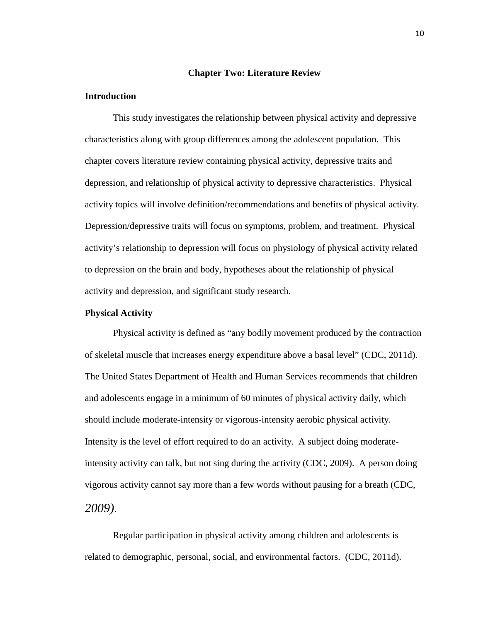### **Chapter Two: Literature Review**

## **Introduction**

This study investigates the relationship between physical activity and depressive characteristics along with group differences among the adolescent population. This chapter covers literature review containing physical activity, depressive traits and depression, and relationship of physical activity to depressive characteristics. Physical activity topics will involve definition/recommendations and benefits of physical activity. Depression/depressive traits will focus on symptoms, problem, and treatment. Physical activity's relationship to depression will focus on physiology of physical activity related to depression on the brain and body, hypotheses about the relationship of physical activity and depression, and significant study research.

## **Physical Activity**

Physical activity is defined as "any bodily movement produced by the contraction of skeletal muscle that increases energy expenditure above a basal level" (CDC, 2011d). The United States Department of Health and Human Services recommends that children and adolescents engage in a minimum of 60 minutes of physical activity daily, which should include moderate-intensity or vigorous-intensity aerobic physical activity. Intensity is the level of effort required to do an activity. A subject doing moderateintensity activity can talk, but not sing during the activity (CDC, 2009). A person doing vigorous activity cannot say more than a few words without pausing for a breath (CDC, *2009)*.

 Regular participation in physical activity among children and adolescents is related to demographic, personal, social, and environmental factors. (CDC, 2011d).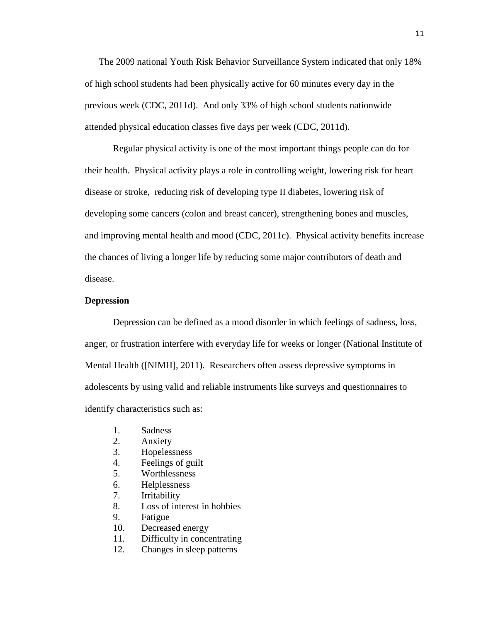The 2009 national Youth Risk Behavior Surveillance System indicated that only 18% of high school students had been physically active for 60 minutes every day in the previous week (CDC, 2011d). And only 33% of high school students nationwide attended physical education classes five days per week (CDC, 2011d).

 Regular physical activity is one of the most important things people can do for their health. Physical activity plays a role in controlling weight, lowering risk for heart disease or stroke, reducing risk of developing type II diabetes, lowering risk of developing some cancers (colon and breast cancer), strengthening bones and muscles, and improving mental health and mood (CDC, 2011c). Physical activity benefits increase the chances of living a longer life by reducing some major contributors of death and disease.

#### **Depression**

Depression can be defined as a mood disorder in which feelings of sadness, loss, anger, or frustration interfere with everyday life for weeks or longer (National Institute of Mental Health ([NIMH], 2011). Researchers often assess depressive symptoms in adolescents by using valid and reliable instruments like surveys and questionnaires to identify characteristics such as:

- 1. Sadness
- 2. Anxiety
- 3. Hopelessness
- 4. Feelings of guilt
- 5. Worthlessness
- 6. Helplessness
- 7. Irritability
- 8. Loss of interest in hobbies
- 9. Fatigue
- 10. Decreased energy
- 11. Difficulty in concentrating
- 12. Changes in sleep patterns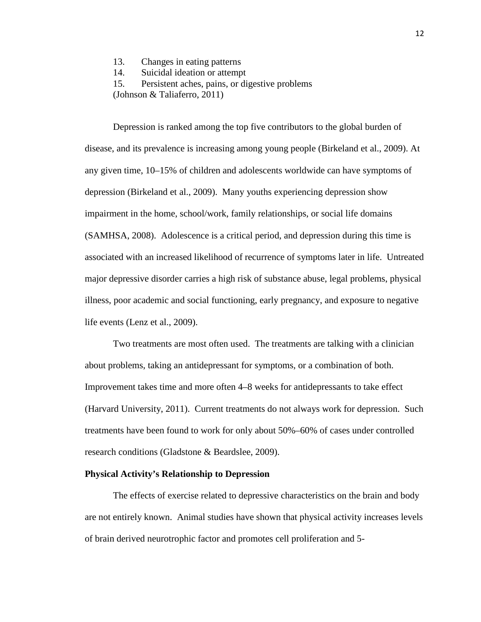- 13. Changes in eating patterns
- 14. Suicidal ideation or attempt
- 15. Persistent aches, pains, or digestive problems

(Johnson & Taliaferro, 2011)

 Depression is ranked among the top five contributors to the global burden of disease, and its prevalence is increasing among young people (Birkeland et al., 2009). At any given time, 10–15% of children and adolescents worldwide can have symptoms of depression (Birkeland et al., 2009). Many youths experiencing depression show impairment in the home, school/work, family relationships, or social life domains (SAMHSA, 2008). Adolescence is a critical period, and depression during this time is associated with an increased likelihood of recurrence of symptoms later in life. Untreated major depressive disorder carries a high risk of substance abuse, legal problems, physical illness, poor academic and social functioning, early pregnancy, and exposure to negative life events (Lenz et al., 2009).

Two treatments are most often used. The treatments are talking with a clinician about problems, taking an antidepressant for symptoms, or a combination of both. Improvement takes time and more often 4–8 weeks for antidepressants to take effect (Harvard University, 2011). Current treatments do not always work for depression. Such treatments have been found to work for only about 50%–60% of cases under controlled research conditions (Gladstone & Beardslee, 2009).

#### **Physical Activity's Relationship to Depression**

The effects of exercise related to depressive characteristics on the brain and body are not entirely known. Animal studies have shown that physical activity increases levels of brain derived neurotrophic factor and promotes cell proliferation and 5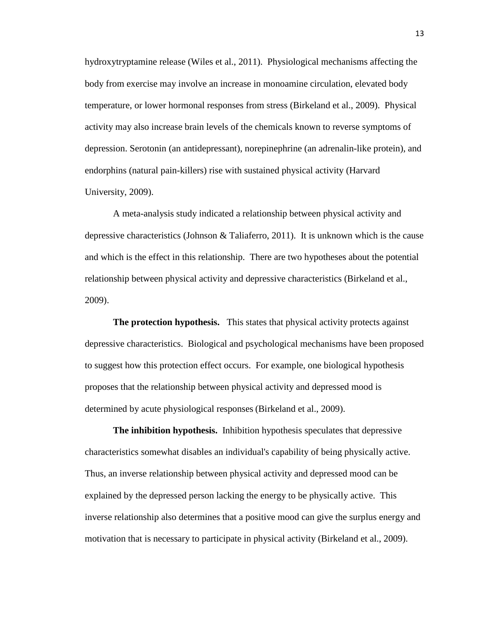hydroxytryptamine release (Wiles et al., 2011). Physiological mechanisms affecting the body from exercise may involve an increase in monoamine circulation, elevated body temperature, or lower hormonal responses from stress (Birkeland et al., 2009). Physical activity may also increase brain levels of the chemicals known to reverse symptoms of depression. Serotonin (an antidepressant), norepinephrine (an adrenalin-like protein), and endorphins (natural pain-killers) rise with sustained physical activity (Harvard University, 2009).

A meta-analysis study indicated a relationship between physical activity and depressive characteristics (Johnson & Taliaferro, 2011). It is unknown which is the cause and which is the effect in this relationship. There are two hypotheses about the potential relationship between physical activity and depressive characteristics (Birkeland et al., 2009).

**The protection hypothesis.** This states that physical activity protects against depressive characteristics. Biological and psychological mechanisms have been proposed to suggest how this protection effect occurs. For example, one biological hypothesis proposes that the relationship between physical activity and depressed mood is determined by acute physiological responses (Birkeland et al., 2009).

**The inhibition hypothesis.** Inhibition hypothesis speculates that depressive characteristics somewhat disables an individual's capability of being physically active. Thus, an inverse relationship between physical activity and depressed mood can be explained by the depressed person lacking the energy to be physically active. This inverse relationship also determines that a positive mood can give the surplus energy and motivation that is necessary to participate in physical activity (Birkeland et al., 2009).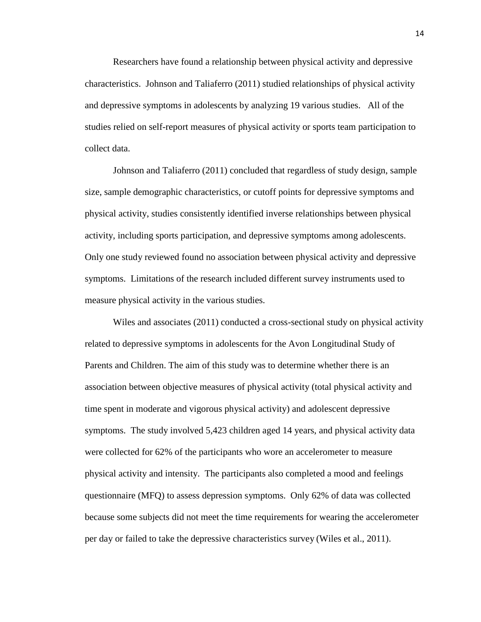Researchers have found a relationship between physical activity and depressive characteristics. Johnson and Taliaferro (2011) studied relationships of physical activity and depressive symptoms in adolescents by analyzing 19 various studies. All of the studies relied on self-report measures of physical activity or sports team participation to collect data.

Johnson and Taliaferro (2011) concluded that regardless of study design, sample size, sample demographic characteristics, or cutoff points for depressive symptoms and physical activity, studies consistently identified inverse relationships between physical activity, including sports participation, and depressive symptoms among adolescents. Only one study reviewed found no association between physical activity and depressive symptoms. Limitations of the research included different survey instruments used to measure physical activity in the various studies.

Wiles and associates (2011) conducted a cross-sectional study on physical activity related to depressive symptoms in adolescents for the Avon Longitudinal Study of Parents and Children. The aim of this study was to determine whether there is an association between objective measures of physical activity (total physical activity and time spent in moderate and vigorous physical activity) and adolescent depressive symptoms. The study involved 5,423 children aged 14 years, and physical activity data were collected for 62% of the participants who wore an accelerometer to measure physical activity and intensity. The participants also completed a mood and feelings questionnaire (MFQ) to assess depression symptoms. Only 62% of data was collected because some subjects did not meet the time requirements for wearing the accelerometer per day or failed to take the depressive characteristics survey (Wiles et al., 2011).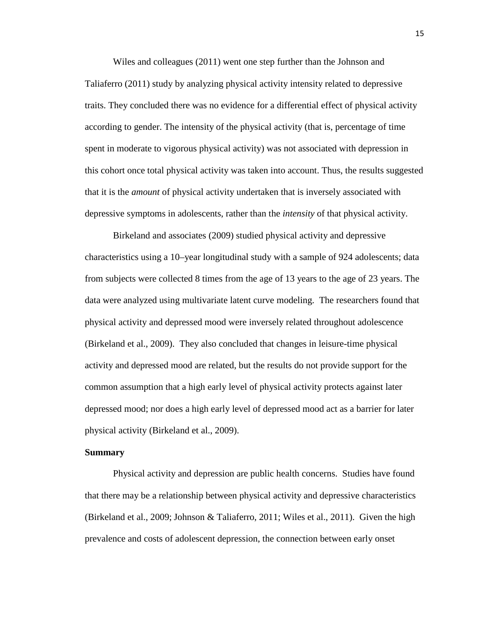Wiles and colleagues (2011) went one step further than the Johnson and Taliaferro (2011) study by analyzing physical activity intensity related to depressive traits. They concluded there was no evidence for a differential effect of physical activity according to gender. The intensity of the physical activity (that is, percentage of time spent in moderate to vigorous physical activity) was not associated with depression in this cohort once total physical activity was taken into account. Thus, the results suggested that it is the *amount* of physical activity undertaken that is inversely associated with depressive symptoms in adolescents, rather than the *intensity* of that physical activity.

Birkeland and associates (2009) studied physical activity and depressive characteristics using a 10–year longitudinal study with a sample of 924 adolescents; data from subjects were collected 8 times from the age of 13 years to the age of 23 years. The data were analyzed using multivariate latent curve modeling. The researchers found that physical activity and depressed mood were inversely related throughout adolescence (Birkeland et al., 2009). They also concluded that changes in leisure-time physical activity and depressed mood are related, but the results do not provide support for the common assumption that a high early level of physical activity protects against later depressed mood; nor does a high early level of depressed mood act as a barrier for later physical activity (Birkeland et al., 2009).

## **Summary**

Physical activity and depression are public health concerns. Studies have found that there may be a relationship between physical activity and depressive characteristics (Birkeland et al., 2009; Johnson & Taliaferro, 2011; Wiles et al., 2011). Given the high prevalence and costs of adolescent depression, the connection between early onset

15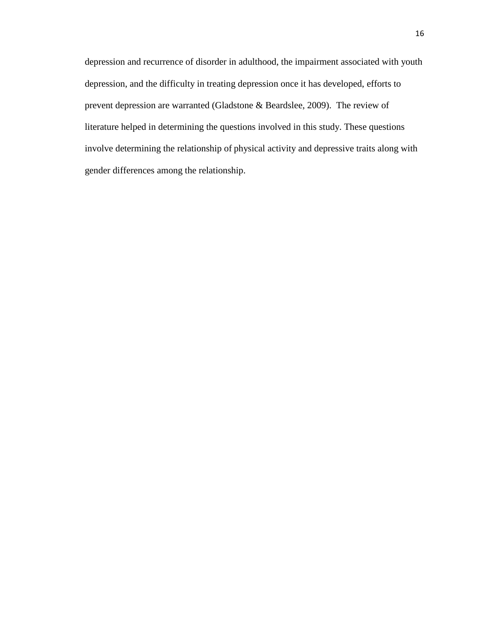depression and recurrence of disorder in adulthood, the impairment associated with youth depression, and the difficulty in treating depression once it has developed, efforts to prevent depression are warranted (Gladstone & Beardslee, 2009). The review of literature helped in determining the questions involved in this study. These questions involve determining the relationship of physical activity and depressive traits along with gender differences among the relationship.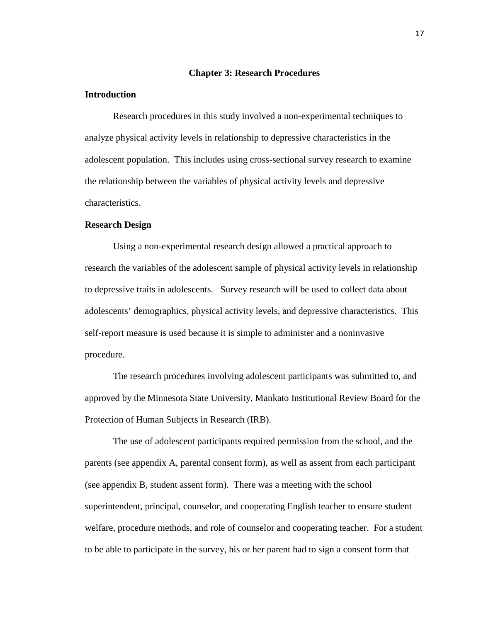## **Chapter 3: Research Procedures**

#### **Introduction**

Research procedures in this study involved a non-experimental techniques to analyze physical activity levels in relationship to depressive characteristics in the adolescent population. This includes using cross-sectional survey research to examine the relationship between the variables of physical activity levels and depressive characteristics.

## **Research Design**

Using a non-experimental research design allowed a practical approach to research the variables of the adolescent sample of physical activity levels in relationship to depressive traits in adolescents. Survey research will be used to collect data about adolescents' demographics, physical activity levels, and depressive characteristics. This self-report measure is used because it is simple to administer and a noninvasive procedure.

The research procedures involving adolescent participants was submitted to, and approved by the Minnesota State University, Mankato Institutional Review Board for the Protection of Human Subjects in Research (IRB).

The use of adolescent participants required permission from the school, and the parents (see appendix A, parental consent form), as well as assent from each participant (see appendix B, student assent form). There was a meeting with the school superintendent, principal, counselor, and cooperating English teacher to ensure student welfare, procedure methods, and role of counselor and cooperating teacher. For a student to be able to participate in the survey, his or her parent had to sign a consent form that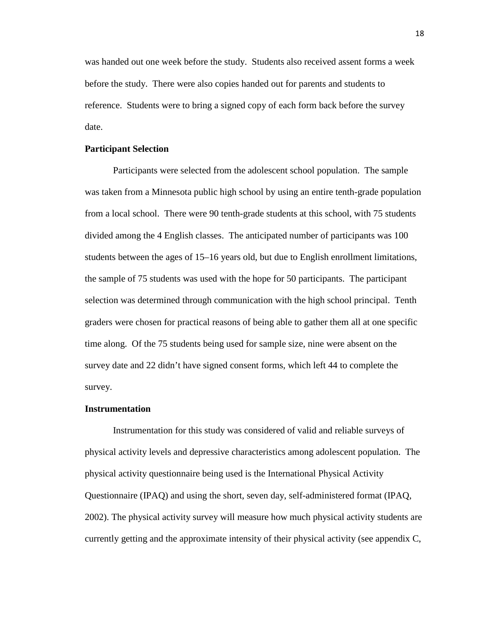was handed out one week before the study. Students also received assent forms a week before the study. There were also copies handed out for parents and students to reference. Students were to bring a signed copy of each form back before the survey date.

## **Participant Selection**

Participants were selected from the adolescent school population. The sample was taken from a Minnesota public high school by using an entire tenth-grade population from a local school. There were 90 tenth-grade students at this school, with 75 students divided among the 4 English classes. The anticipated number of participants was 100 students between the ages of 15–16 years old, but due to English enrollment limitations, the sample of 75 students was used with the hope for 50 participants. The participant selection was determined through communication with the high school principal. Tenth graders were chosen for practical reasons of being able to gather them all at one specific time along. Of the 75 students being used for sample size, nine were absent on the survey date and 22 didn't have signed consent forms, which left 44 to complete the survey.

### **Instrumentation**

 Instrumentation for this study was considered of valid and reliable surveys of physical activity levels and depressive characteristics among adolescent population. The physical activity questionnaire being used is the International Physical Activity Questionnaire (IPAQ) and using the short, seven day, self-administered format (IPAQ, 2002). The physical activity survey will measure how much physical activity students are currently getting and the approximate intensity of their physical activity (see appendix C,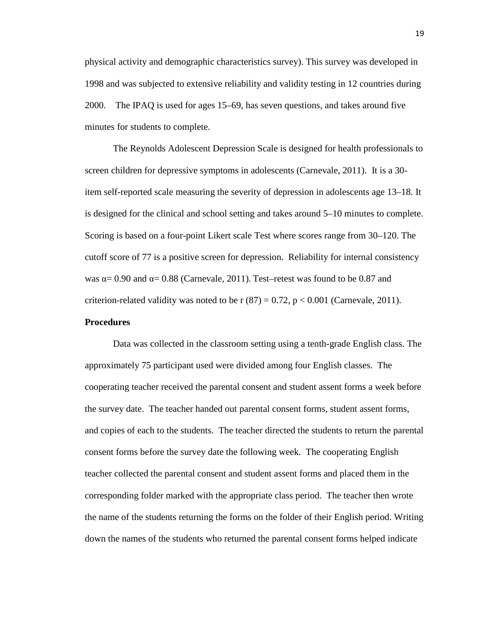physical activity and demographic characteristics survey). This survey was developed in 1998 and was subjected to extensive reliability and validity testing in 12 countries during 2000. The IPAQ is used for ages 15–69, has seven questions, and takes around five minutes for students to complete.

The Reynolds Adolescent Depression Scale is designed for health professionals to screen children for depressive symptoms in adolescents (Carnevale, 2011). It is a 30 item self-reported scale measuring the severity of depression in adolescents age 13–18. It is designed for the clinical and school setting and takes around 5–10 minutes to complete. Scoring is based on a four-point Likert scale Test where scores range from 30–120. The cutoff score of 77 is a positive screen for depression. Reliability for internal consistency was  $\alpha$  = 0.90 and  $\alpha$  = 0.88 (Carnevale, 2011). Test–retest was found to be 0.87 and criterion-related validity was noted to be  $r(87) = 0.72$ ,  $p < 0.001$  (Carnevale, 2011).

## **Procedures**

Data was collected in the classroom setting using a tenth-grade English class. The approximately 75 participant used were divided among four English classes. The cooperating teacher received the parental consent and student assent forms a week before the survey date. The teacher handed out parental consent forms, student assent forms, and copies of each to the students. The teacher directed the students to return the parental consent forms before the survey date the following week. The cooperating English teacher collected the parental consent and student assent forms and placed them in the corresponding folder marked with the appropriate class period. The teacher then wrote the name of the students returning the forms on the folder of their English period. Writing down the names of the students who returned the parental consent forms helped indicate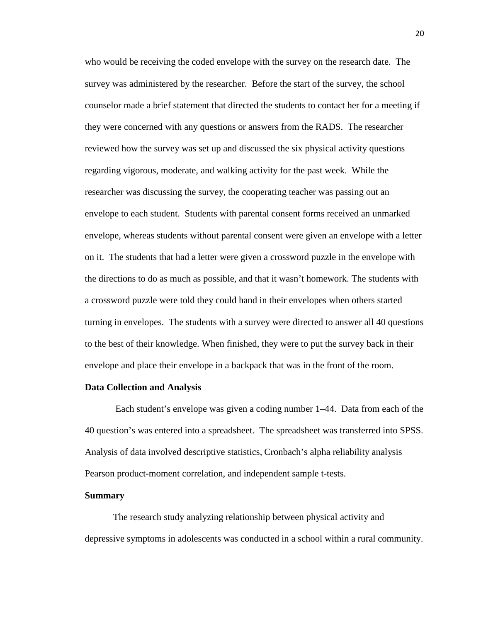who would be receiving the coded envelope with the survey on the research date. The survey was administered by the researcher. Before the start of the survey, the school counselor made a brief statement that directed the students to contact her for a meeting if they were concerned with any questions or answers from the RADS. The researcher reviewed how the survey was set up and discussed the six physical activity questions regarding vigorous, moderate, and walking activity for the past week. While the researcher was discussing the survey, the cooperating teacher was passing out an envelope to each student. Students with parental consent forms received an unmarked envelope, whereas students without parental consent were given an envelope with a letter on it. The students that had a letter were given a crossword puzzle in the envelope with the directions to do as much as possible, and that it wasn't homework. The students with a crossword puzzle were told they could hand in their envelopes when others started turning in envelopes. The students with a survey were directed to answer all 40 questions to the best of their knowledge. When finished, they were to put the survey back in their envelope and place their envelope in a backpack that was in the front of the room.

#### **Data Collection and Analysis**

 Each student's envelope was given a coding number 1–44. Data from each of the 40 question's was entered into a spreadsheet. The spreadsheet was transferred into SPSS. Analysis of data involved descriptive statistics, Cronbach's alpha reliability analysis Pearson product-moment correlation, and independent sample t-tests.

#### **Summary**

The research study analyzing relationship between physical activity and depressive symptoms in adolescents was conducted in a school within a rural community.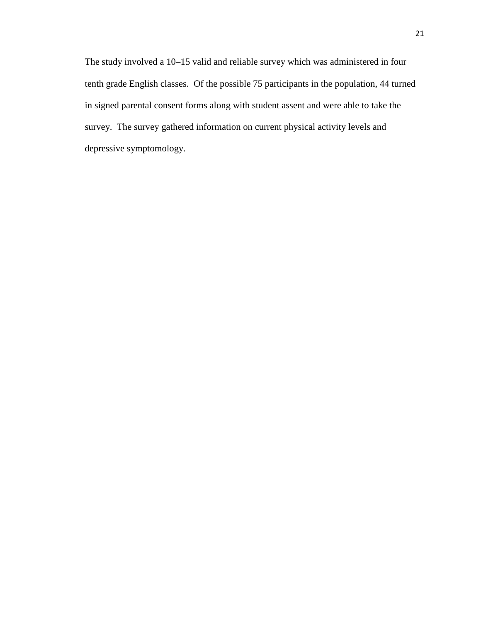The study involved a 10–15 valid and reliable survey which was administered in four tenth grade English classes. Of the possible 75 participants in the population, 44 turned in signed parental consent forms along with student assent and were able to take the survey. The survey gathered information on current physical activity levels and depressive symptomology.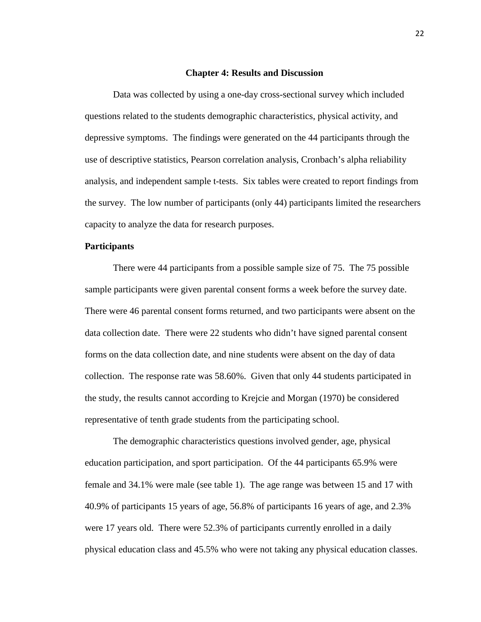#### **Chapter 4: Results and Discussion**

 Data was collected by using a one-day cross-sectional survey which included questions related to the students demographic characteristics, physical activity, and depressive symptoms. The findings were generated on the 44 participants through the use of descriptive statistics, Pearson correlation analysis, Cronbach's alpha reliability analysis, and independent sample t-tests. Six tables were created to report findings from the survey. The low number of participants (only 44) participants limited the researchers capacity to analyze the data for research purposes.

## **Participants**

There were 44 participants from a possible sample size of 75. The 75 possible sample participants were given parental consent forms a week before the survey date. There were 46 parental consent forms returned, and two participants were absent on the data collection date. There were 22 students who didn't have signed parental consent forms on the data collection date, and nine students were absent on the day of data collection. The response rate was 58.60%. Given that only 44 students participated in the study, the results cannot according to Krejcie and Morgan (1970) be considered representative of tenth grade students from the participating school.

The demographic characteristics questions involved gender, age, physical education participation, and sport participation. Of the 44 participants 65.9% were female and 34.1% were male (see table 1). The age range was between 15 and 17 with 40.9% of participants 15 years of age, 56.8% of participants 16 years of age, and 2.3% were 17 years old. There were 52.3% of participants currently enrolled in a daily physical education class and 45.5% who were not taking any physical education classes.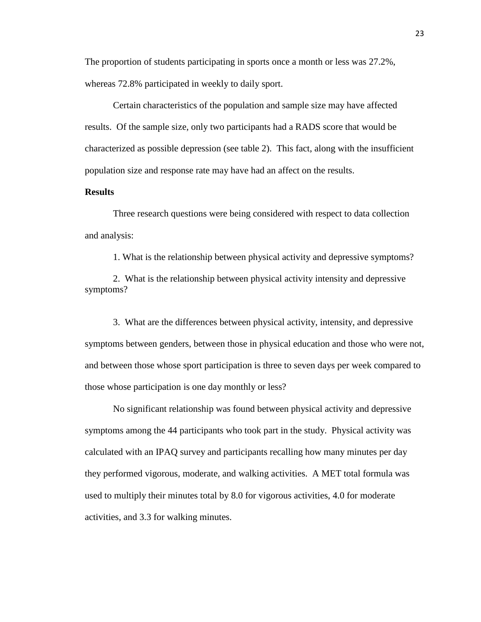The proportion of students participating in sports once a month or less was 27.2%, whereas 72.8% participated in weekly to daily sport.

Certain characteristics of the population and sample size may have affected results. Of the sample size, only two participants had a RADS score that would be characterized as possible depression (see table 2). This fact, along with the insufficient population size and response rate may have had an affect on the results.

## **Results**

Three research questions were being considered with respect to data collection and analysis:

1. What is the relationship between physical activity and depressive symptoms?

2. What is the relationship between physical activity intensity and depressive symptoms?

3. What are the differences between physical activity, intensity, and depressive symptoms between genders, between those in physical education and those who were not, and between those whose sport participation is three to seven days per week compared to those whose participation is one day monthly or less?

No significant relationship was found between physical activity and depressive symptoms among the 44 participants who took part in the study. Physical activity was calculated with an IPAQ survey and participants recalling how many minutes per day they performed vigorous, moderate, and walking activities. A MET total formula was used to multiply their minutes total by 8.0 for vigorous activities, 4.0 for moderate activities, and 3.3 for walking minutes.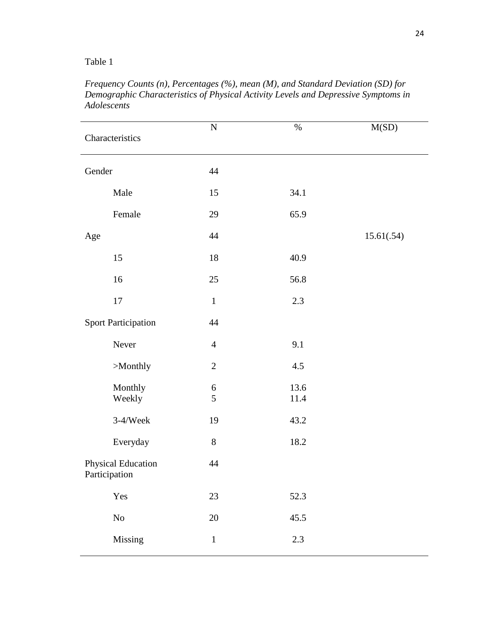## Table 1

| Characteristics |                            | ${\bf N}$             | $\%$             | M(SD)      |
|-----------------|----------------------------|-----------------------|------------------|------------|
| Gender          |                            | 44                    |                  |            |
|                 | Male                       | 15                    | 34.1             |            |
|                 | Female                     | 29                    | 65.9             |            |
| Age             |                            | 44                    |                  | 15.61(.54) |
|                 | 15                         | 18                    | 40.9             |            |
|                 | 16                         | $25\,$                | 56.8             |            |
|                 | 17                         | $\mathbf{1}$          | 2.3              |            |
|                 | <b>Sport Participation</b> | 44                    |                  |            |
|                 | Never                      | $\overline{4}$        | 9.1              |            |
|                 | >Monthly                   | $\sqrt{2}$            | 4.5              |            |
|                 | Monthly<br>Weekly          | $\boldsymbol{6}$<br>5 | 13.6<br>$11.4\,$ |            |
|                 | $3-4/Week$                 | 19                    | 43.2             |            |
|                 | Everyday                   | $8\,$                 | 18.2             |            |
| Participation   | Physical Education         | 44                    |                  |            |
|                 | Yes                        | 23                    | 52.3             |            |
|                 | $\rm No$                   | $20\,$                | 45.5             |            |
|                 | Missing                    | $\,1\,$               | 2.3              |            |

*Frequency Counts (n), Percentages (%), mean (M), and Standard Deviation (SD) for Demographic Characteristics of Physical Activity Levels and Depressive Symptoms in Adolescents*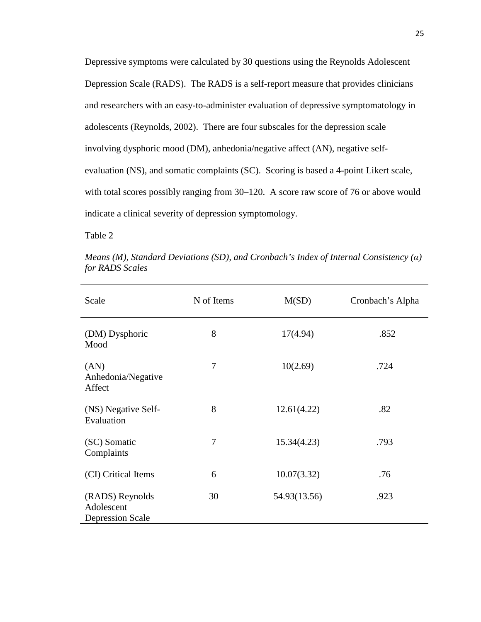Depressive symptoms were calculated by 30 questions using the Reynolds Adolescent Depression Scale (RADS). The RADS is a self-report measure that provides clinicians and researchers with an easy-to-administer evaluation of depressive symptomatology in adolescents (Reynolds, 2002). There are four subscales for the depression scale involving dysphoric mood (DM), anhedonia/negative affect (AN), negative selfevaluation (NS), and somatic complaints (SC). Scoring is based a 4-point Likert scale, with total scores possibly ranging from 30–120. A score raw score of 76 or above would indicate a clinical severity of depression symptomology.

Table 2

| Scale                                                    | N of Items     | M(SD)        | Cronbach's Alpha |
|----------------------------------------------------------|----------------|--------------|------------------|
| (DM) Dysphoric<br>Mood                                   | 8              | 17(4.94)     | .852             |
| (AN)<br>Anhedonia/Negative<br>Affect                     | $\overline{7}$ | 10(2.69)     | .724             |
| (NS) Negative Self-<br>Evaluation                        | 8              | 12.61(4.22)  | .82              |
| (SC) Somatic<br>Complaints                               | $\overline{7}$ | 15.34(4.23)  | .793             |
| (CI) Critical Items                                      | 6              | 10.07(3.32)  | .76              |
| (RADS) Reynolds<br>Adolescent<br><b>Depression Scale</b> | 30             | 54.93(13.56) | .923             |

*Means (M), Standard Deviations (SD), and Cronbach's Index of Internal Consistency (*α*) for RADS Scales*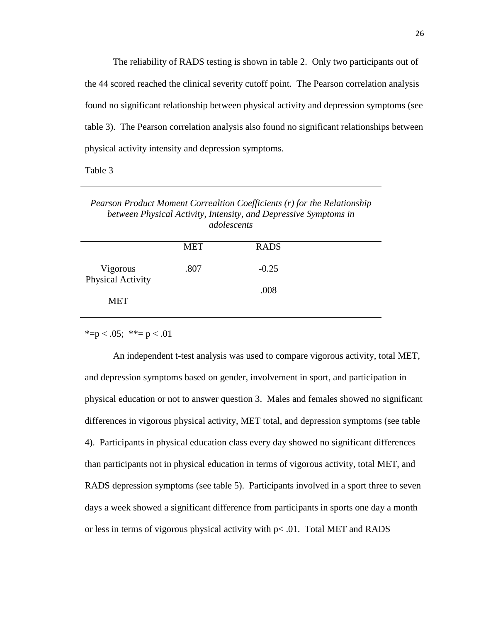The reliability of RADS testing is shown in table 2. Only two participants out of the 44 scored reached the clinical severity cutoff point. The Pearson correlation analysis found no significant relationship between physical activity and depression symptoms (see table 3). The Pearson correlation analysis also found no significant relationships between physical activity intensity and depression symptoms.

Table 3

*Pearson Product Moment Correaltion Coefficients (r) for the Relationship between Physical Activity, Intensity, and Depressive Symptoms in adolescents* 

|                               | <b>MET</b> | <b>RADS</b> |  |
|-------------------------------|------------|-------------|--|
| Vigorous<br>Physical Activity | .807       | $-0.25$     |  |
| <b>MET</b>                    |            | .008        |  |

\*=p < .05; \*\*= p < .01

 An independent t-test analysis was used to compare vigorous activity, total MET, and depression symptoms based on gender, involvement in sport, and participation in physical education or not to answer question 3. Males and females showed no significant differences in vigorous physical activity, MET total, and depression symptoms (see table 4). Participants in physical education class every day showed no significant differences than participants not in physical education in terms of vigorous activity, total MET, and RADS depression symptoms (see table 5). Participants involved in a sport three to seven days a week showed a significant difference from participants in sports one day a month or less in terms of vigorous physical activity with p< .01. Total MET and RADS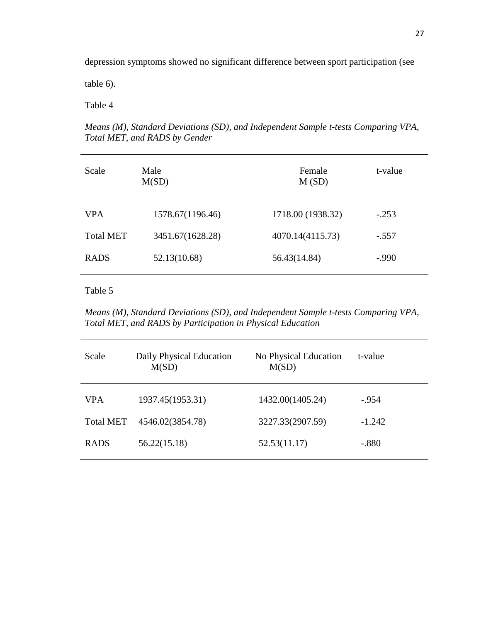depression symptoms showed no significant difference between sport participation (see

table 6).

Table 4

*Means (M), Standard Deviations (SD), and Independent Sample t-tests Comparing VPA, Total MET, and RADS by Gender* 

| Scale            | Male<br>M(SD)    | Female<br>M(SD)   | t-value |  |
|------------------|------------------|-------------------|---------|--|
| <b>VPA</b>       | 1578.67(1196.46) | 1718.00 (1938.32) | $-.253$ |  |
| <b>Total MET</b> | 3451.67(1628.28) | 4070.14(4115.73)  | $-.557$ |  |
| <b>RADS</b>      | 52.13(10.68)     | 56.43(14.84)      | $-.990$ |  |
|                  |                  |                   |         |  |

## Table 5

*Means (M), Standard Deviations (SD), and Independent Sample t-tests Comparing VPA, Total MET, and RADS by Participation in Physical Education* 

| Scale            | Daily Physical Education<br>M(SD) | No Physical Education<br>M(SD) | t-value  |
|------------------|-----------------------------------|--------------------------------|----------|
| <b>VPA</b>       | 1937.45(1953.31)                  | 1432.00(1405.24)               | $-.954$  |
| <b>Total MET</b> | 4546.02(3854.78)                  | 3227.33(2907.59)               | $-1.242$ |
| <b>RADS</b>      | 56.22(15.18)                      | 52.53(11.17)                   | $-.880$  |
|                  |                                   |                                |          |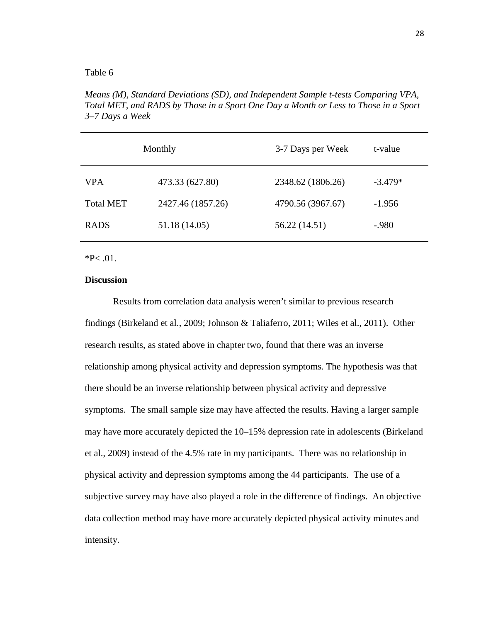## Table 6

*Means (M), Standard Deviations (SD), and Independent Sample t-tests Comparing VPA, Total MET, and RADS by Those in a Sport One Day a Month or Less to Those in a Sport 3–7 Days a Week* 

|                  | Monthly           | 3-7 Days per Week | t-value   |
|------------------|-------------------|-------------------|-----------|
| <b>VPA</b>       | 473.33 (627.80)   | 2348.62 (1806.26) | $-3.479*$ |
| <b>Total MET</b> | 2427.46 (1857.26) | 4790.56 (3967.67) | $-1.956$  |
| <b>RADS</b>      | 51.18 (14.05)     | 56.22 (14.51)     | -.980     |

#### $*P< .01$ .

## **Discussion**

Results from correlation data analysis weren't similar to previous research findings (Birkeland et al., 2009; Johnson & Taliaferro, 2011; Wiles et al., 2011). Other research results, as stated above in chapter two, found that there was an inverse relationship among physical activity and depression symptoms. The hypothesis was that there should be an inverse relationship between physical activity and depressive symptoms. The small sample size may have affected the results. Having a larger sample may have more accurately depicted the 10–15% depression rate in adolescents (Birkeland et al., 2009) instead of the 4.5% rate in my participants. There was no relationship in physical activity and depression symptoms among the 44 participants. The use of a subjective survey may have also played a role in the difference of findings. An objective data collection method may have more accurately depicted physical activity minutes and intensity.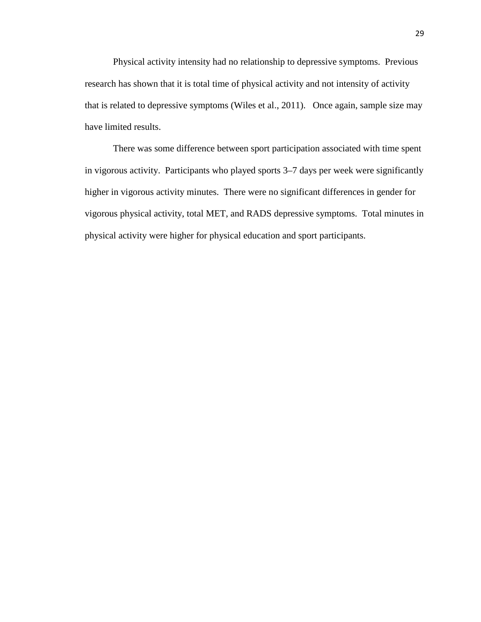Physical activity intensity had no relationship to depressive symptoms. Previous research has shown that it is total time of physical activity and not intensity of activity that is related to depressive symptoms (Wiles et al., 2011). Once again, sample size may have limited results.

 There was some difference between sport participation associated with time spent in vigorous activity. Participants who played sports 3–7 days per week were significantly higher in vigorous activity minutes. There were no significant differences in gender for vigorous physical activity, total MET, and RADS depressive symptoms. Total minutes in physical activity were higher for physical education and sport participants.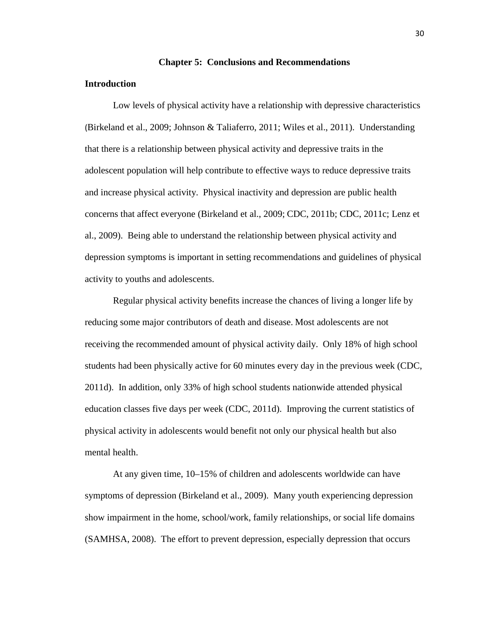#### **Chapter 5: Conclusions and Recommendations**

## **Introduction**

Low levels of physical activity have a relationship with depressive characteristics (Birkeland et al., 2009; Johnson & Taliaferro, 2011; Wiles et al., 2011). Understanding that there is a relationship between physical activity and depressive traits in the adolescent population will help contribute to effective ways to reduce depressive traits and increase physical activity. Physical inactivity and depression are public health concerns that affect everyone (Birkeland et al., 2009; CDC, 2011b; CDC, 2011c; Lenz et al., 2009). Being able to understand the relationship between physical activity and depression symptoms is important in setting recommendations and guidelines of physical activity to youths and adolescents.

Regular physical activity benefits increase the chances of living a longer life by reducing some major contributors of death and disease. Most adolescents are not receiving the recommended amount of physical activity daily. Only 18% of high school students had been physically active for 60 minutes every day in the previous week (CDC, 2011d). In addition, only 33% of high school students nationwide attended physical education classes five days per week (CDC, 2011d). Improving the current statistics of physical activity in adolescents would benefit not only our physical health but also mental health.

At any given time, 10–15% of children and adolescents worldwide can have symptoms of depression (Birkeland et al., 2009). Many youth experiencing depression show impairment in the home, school/work, family relationships, or social life domains (SAMHSA, 2008). The effort to prevent depression, especially depression that occurs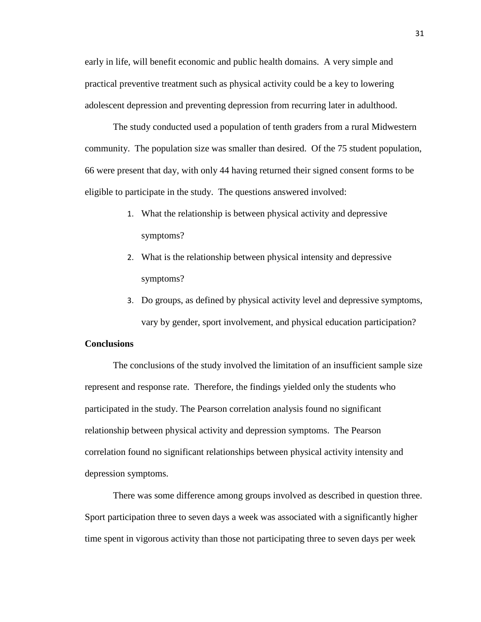early in life, will benefit economic and public health domains. A very simple and practical preventive treatment such as physical activity could be a key to lowering adolescent depression and preventing depression from recurring later in adulthood.

The study conducted used a population of tenth graders from a rural Midwestern community. The population size was smaller than desired. Of the 75 student population, 66 were present that day, with only 44 having returned their signed consent forms to be eligible to participate in the study. The questions answered involved:

- 1. What the relationship is between physical activity and depressive symptoms?
- 2. What is the relationship between physical intensity and depressive symptoms?
- 3. Do groups, as defined by physical activity level and depressive symptoms, vary by gender, sport involvement, and physical education participation?

## **Conclusions**

 The conclusions of the study involved the limitation of an insufficient sample size represent and response rate. Therefore, the findings yielded only the students who participated in the study. The Pearson correlation analysis found no significant relationship between physical activity and depression symptoms. The Pearson correlation found no significant relationships between physical activity intensity and depression symptoms.

 There was some difference among groups involved as described in question three. Sport participation three to seven days a week was associated with a significantly higher time spent in vigorous activity than those not participating three to seven days per week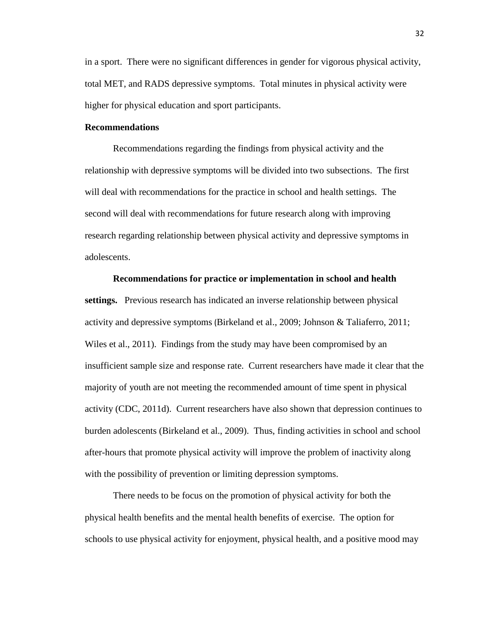in a sport. There were no significant differences in gender for vigorous physical activity, total MET, and RADS depressive symptoms. Total minutes in physical activity were higher for physical education and sport participants.

## **Recommendations**

Recommendations regarding the findings from physical activity and the relationship with depressive symptoms will be divided into two subsections. The first will deal with recommendations for the practice in school and health settings. The second will deal with recommendations for future research along with improving research regarding relationship between physical activity and depressive symptoms in adolescents.

**Recommendations for practice or implementation in school and health settings.** Previous research has indicated an inverse relationship between physical activity and depressive symptoms (Birkeland et al., 2009; Johnson & Taliaferro, 2011; Wiles et al., 2011). Findings from the study may have been compromised by an insufficient sample size and response rate. Current researchers have made it clear that the majority of youth are not meeting the recommended amount of time spent in physical activity (CDC, 2011d). Current researchers have also shown that depression continues to burden adolescents (Birkeland et al., 2009). Thus, finding activities in school and school after-hours that promote physical activity will improve the problem of inactivity along with the possibility of prevention or limiting depression symptoms.

There needs to be focus on the promotion of physical activity for both the physical health benefits and the mental health benefits of exercise. The option for schools to use physical activity for enjoyment, physical health, and a positive mood may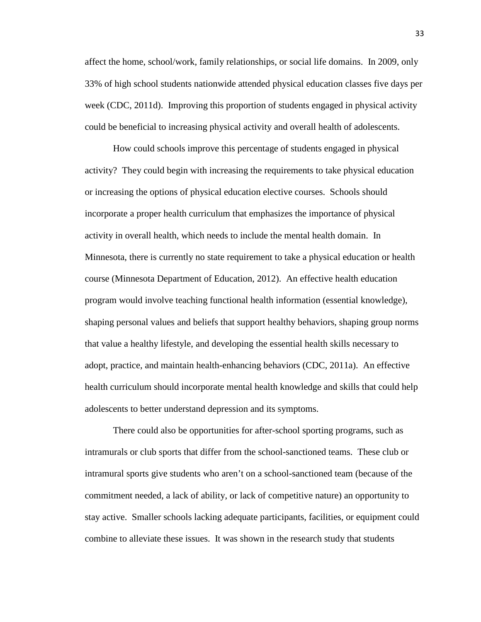affect the home, school/work, family relationships, or social life domains. In 2009, only 33% of high school students nationwide attended physical education classes five days per week (CDC, 2011d). Improving this proportion of students engaged in physical activity could be beneficial to increasing physical activity and overall health of adolescents.

How could schools improve this percentage of students engaged in physical activity? They could begin with increasing the requirements to take physical education or increasing the options of physical education elective courses. Schools should incorporate a proper health curriculum that emphasizes the importance of physical activity in overall health, which needs to include the mental health domain. In Minnesota, there is currently no state requirement to take a physical education or health course (Minnesota Department of Education, 2012). An effective health education program would involve teaching functional health information (essential knowledge), shaping personal values and beliefs that support healthy behaviors, shaping group norms that value a healthy lifestyle, and developing the essential health skills necessary to adopt, practice, and maintain health-enhancing behaviors (CDC, 2011a). An effective health curriculum should incorporate mental health knowledge and skills that could help adolescents to better understand depression and its symptoms.

There could also be opportunities for after-school sporting programs, such as intramurals or club sports that differ from the school-sanctioned teams. These club or intramural sports give students who aren't on a school-sanctioned team (because of the commitment needed, a lack of ability, or lack of competitive nature) an opportunity to stay active. Smaller schools lacking adequate participants, facilities, or equipment could combine to alleviate these issues. It was shown in the research study that students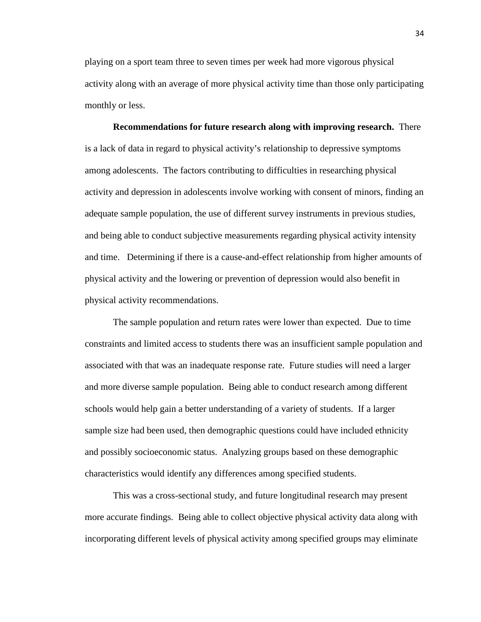playing on a sport team three to seven times per week had more vigorous physical activity along with an average of more physical activity time than those only participating monthly or less.

**Recommendations for future research along with improving research.** There is a lack of data in regard to physical activity's relationship to depressive symptoms among adolescents. The factors contributing to difficulties in researching physical activity and depression in adolescents involve working with consent of minors, finding an adequate sample population, the use of different survey instruments in previous studies, and being able to conduct subjective measurements regarding physical activity intensity and time. Determining if there is a cause-and-effect relationship from higher amounts of physical activity and the lowering or prevention of depression would also benefit in physical activity recommendations.

 The sample population and return rates were lower than expected. Due to time constraints and limited access to students there was an insufficient sample population and associated with that was an inadequate response rate. Future studies will need a larger and more diverse sample population. Being able to conduct research among different schools would help gain a better understanding of a variety of students. If a larger sample size had been used, then demographic questions could have included ethnicity and possibly socioeconomic status. Analyzing groups based on these demographic characteristics would identify any differences among specified students.

 This was a cross-sectional study, and future longitudinal research may present more accurate findings. Being able to collect objective physical activity data along with incorporating different levels of physical activity among specified groups may eliminate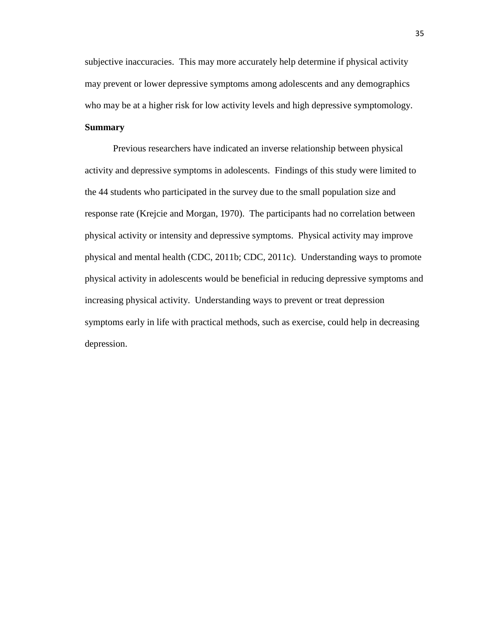subjective inaccuracies. This may more accurately help determine if physical activity may prevent or lower depressive symptoms among adolescents and any demographics who may be at a higher risk for low activity levels and high depressive symptomology.

## **Summary**

 Previous researchers have indicated an inverse relationship between physical activity and depressive symptoms in adolescents. Findings of this study were limited to the 44 students who participated in the survey due to the small population size and response rate (Krejcie and Morgan, 1970). The participants had no correlation between physical activity or intensity and depressive symptoms. Physical activity may improve physical and mental health (CDC, 2011b; CDC, 2011c). Understanding ways to promote physical activity in adolescents would be beneficial in reducing depressive symptoms and increasing physical activity. Understanding ways to prevent or treat depression symptoms early in life with practical methods, such as exercise, could help in decreasing depression.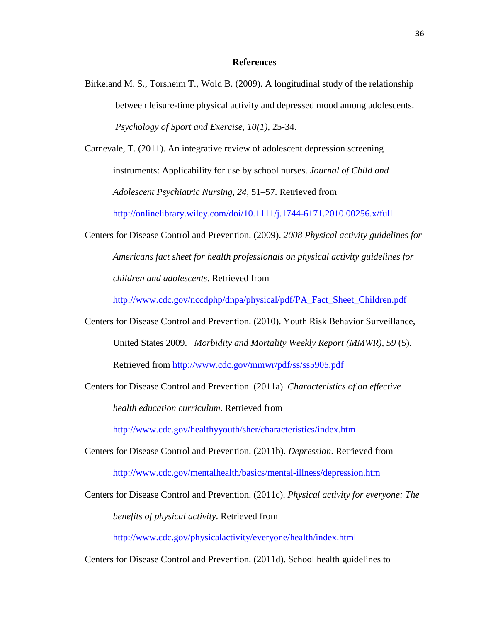## **References**

Birkeland M. S., Torsheim T., Wold B. (2009). A longitudinal study of the relationship between leisure-time physical activity and depressed mood among adolescents. *Psychology of Sport and Exercise, 10(1),* 25-34.

Carnevale, T. (2011). An integrative review of adolescent depression screening instruments: Applicability for use by school nurses. *Journal of Child and Adolescent Psychiatric Nursing*, *24*, 51–57. Retrieved from

http://onlinelibrary.wiley.com/doi/10.1111/j.1744-6171.2010.00256.x/full

Centers for Disease Control and Prevention. (2009). *2008 Physical activity guidelines for Americans fact sheet for health professionals on physical activity guidelines for children and adolescents*. Retrieved from

http://www.cdc.gov/nccdphp/dnpa/physical/pdf/PA\_Fact\_Sheet\_Children.pdf

Centers for Disease Control and Prevention. (2010). Youth Risk Behavior Surveillance, United States 2009. *Morbidity and Mortality Weekly Report (MMWR), 59* (5). Retrieved from http://www.cdc.gov/mmwr/pdf/ss/ss5905.pdf

Centers for Disease Control and Prevention. (2011a). *Characteristics of an effective health education curriculum.* Retrieved from

http://www.cdc.gov/healthyyouth/sher/characteristics/index.htm

- Centers for Disease Control and Prevention. (2011b). *Depression*. Retrieved from http://www.cdc.gov/mentalhealth/basics/mental-illness/depression.htm
- Centers for Disease Control and Prevention. (2011c). *Physical activity for everyone: The*

*benefits of physical activity*. Retrieved from

http://www.cdc.gov/physicalactivity/everyone/health/index.html

Centers for Disease Control and Prevention. (2011d). School health guidelines to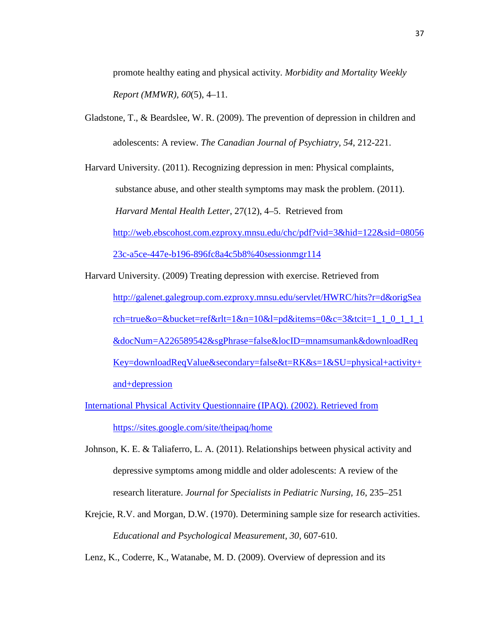promote healthy eating and physical activity. *Morbidity and Mortality Weekly Report (MMWR), 60*(5), 4–11.

Gladstone, T., & Beardslee, W. R. (2009). The prevention of depression in children and adolescents: A review. *The Canadian Journal of Psychiatry, 54*, 212-221.

Harvard University. (2011). Recognizing depression in men: Physical complaints, substance abuse, and other stealth symptoms may mask the problem. (2011). *Harvard Mental Health Letter*, 27(12), 4–5. Retrieved from http://web.ebscohost.com.ezproxy.mnsu.edu/chc/pdf?vid=3&hid=122&sid=08056 23c-a5ce-447e-b196-896fc8a4c5b8%40sessionmgr114

Harvard University. (2009) Treating depression with exercise. Retrieved from http://galenet.galegroup.com.ezproxy.mnsu.edu/servlet/HWRC/hits?r=d&origSea rch=true&o=&bucket=ref&rlt=1&n=10&l=pd&items=0&c=3&tcit=1\_1\_0\_1\_1\_1 &docNum=A226589542&sgPhrase=false&locID=mnamsumank&downloadReq Key=downloadReqValue&secondary=false&t=RK&s=1&SU=physical+activity+ and+depression

International Physical Activity Questionnaire (IPAQ). (2002). Retrieved from https://sites.google.com/site/theipaq/home

Johnson, K. E. & Taliaferro, L. A. (2011). Relationships between physical activity and depressive symptoms among middle and older adolescents: A review of the research literature. *Journal for Specialists in Pediatric Nursing, 16*, 235–251

Krejcie, R.V. and Morgan, D.W. (1970). Determining sample size for research activities. *Educational and Psychological Measurement, 30,* 607-610.

Lenz, K., Coderre, K., Watanabe, M. D. (2009). Overview of depression and its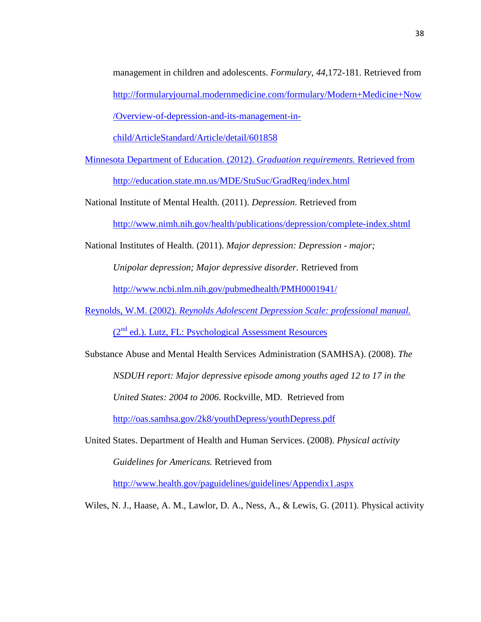management in children and adolescents. *Formulary, 44,*172-181. Retrieved from http://formularyjournal.modernmedicine.com/formulary/Modern+Medicine+Now /Overview-of-depression-and-its-management-in-

child/ArticleStandard/Article/detail/601858

Minnesota Department of Education. (2012). *Graduation requirements.* Retrieved from http://education.state.mn.us/MDE/StuSuc/GradReq/index.html

National Institute of Mental Health. (2011). *Depression*. Retrieved from

http://www.nimh.nih.gov/health/publications/depression/complete-index.shtml

National Institutes of Health. (2011). *Major depression: Depression - major;* 

*Unipolar depression; Major depressive disorder.* Retrieved from

http://www.ncbi.nlm.nih.gov/pubmedhealth/PMH0001941/

Reynolds, W.M. (2002). *Reynolds Adolescent Depression Scale: professional manual.*  (2nd ed.). Lutz, FL: Psychological Assessment Resources

Substance Abuse and Mental Health Services Administration (SAMHSA). (2008). *The NSDUH report: Major depressive episode among youths aged 12 to 17 in the* 

*United States: 2004 to 2006*. Rockville, MD. Retrieved from

http://oas.samhsa.gov/2k8/youthDepress/youthDepress.pdf

United States. Department of Health and Human Services. (2008). *Physical activity Guidelines for Americans.* Retrieved from

http://www.health.gov/paguidelines/guidelines/Appendix1.aspx

Wiles, N. J., Haase, A. M., Lawlor, D. A., Ness, A., & Lewis, G. (2011). Physical activity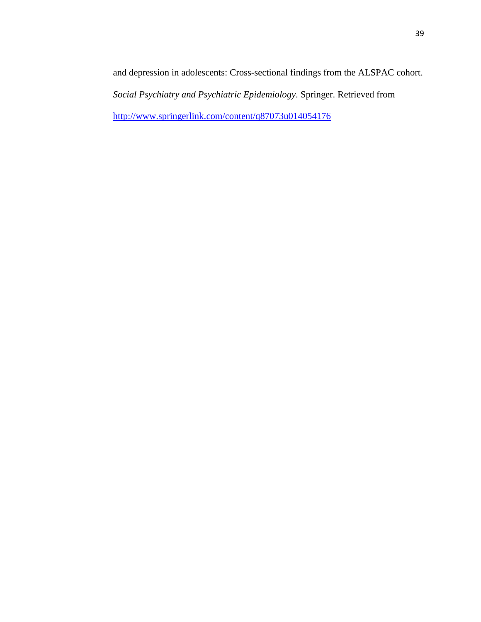and depression in adolescents: Cross-sectional findings from the ALSPAC cohort. *Social Psychiatry and Psychiatric Epidemiology*. Springer. Retrieved from http://www.springerlink.com/content/q87073u014054176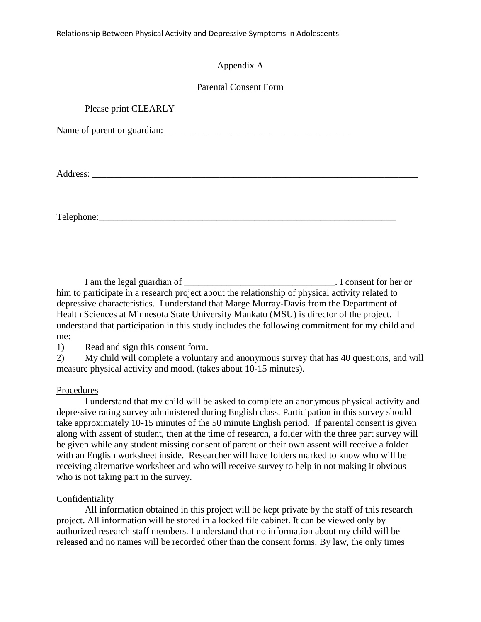Relationship Between Physical Activity and Depressive Symptoms in Adolescents

## Appendix A

## Parental Consent Form

| Please print CLEARLY |  |
|----------------------|--|
|                      |  |
|                      |  |
|                      |  |
|                      |  |
|                      |  |

 I am the legal guardian of \_\_\_\_\_\_\_\_\_\_\_\_\_\_\_\_\_\_\_\_\_\_\_\_\_\_\_\_\_\_\_\_. I consent for her or him to participate in a research project about the relationship of physical activity related to depressive characteristics. I understand that Marge Murray-Davis from the Department of Health Sciences at Minnesota State University Mankato (MSU) is director of the project. I understand that participation in this study includes the following commitment for my child and me:

1) Read and sign this consent form.

2) My child will complete a voluntary and anonymous survey that has 40 questions, and will measure physical activity and mood. (takes about 10-15 minutes).

## Procedures

 I understand that my child will be asked to complete an anonymous physical activity and depressive rating survey administered during English class. Participation in this survey should take approximately 10-15 minutes of the 50 minute English period. If parental consent is given along with assent of student, then at the time of research, a folder with the three part survey will be given while any student missing consent of parent or their own assent will receive a folder with an English worksheet inside. Researcher will have folders marked to know who will be receiving alternative worksheet and who will receive survey to help in not making it obvious who is not taking part in the survey.

## Confidentiality

 All information obtained in this project will be kept private by the staff of this research project. All information will be stored in a locked file cabinet. It can be viewed only by authorized research staff members. I understand that no information about my child will be released and no names will be recorded other than the consent forms. By law, the only times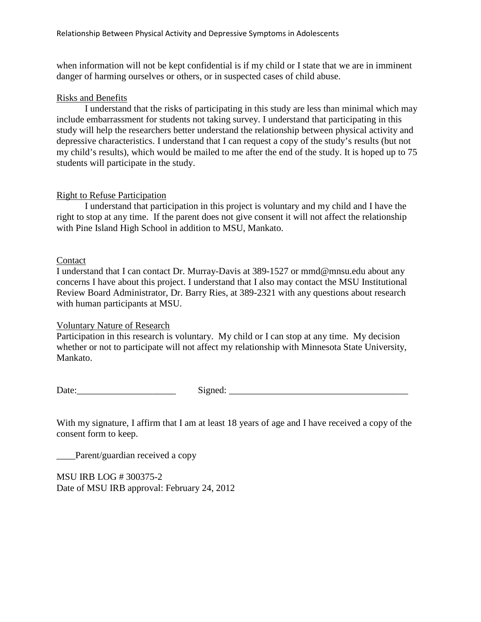when information will not be kept confidential is if my child or I state that we are in imminent danger of harming ourselves or others, or in suspected cases of child abuse.

## Risks and Benefits

 I understand that the risks of participating in this study are less than minimal which may include embarrassment for students not taking survey. I understand that participating in this study will help the researchers better understand the relationship between physical activity and depressive characteristics. I understand that I can request a copy of the study's results (but not my child's results), which would be mailed to me after the end of the study. It is hoped up to 75 students will participate in the study.

## Right to Refuse Participation

 I understand that participation in this project is voluntary and my child and I have the right to stop at any time. If the parent does not give consent it will not affect the relationship with Pine Island High School in addition to MSU, Mankato.

## Contact

I understand that I can contact Dr. Murray-Davis at 389-1527 or mmd@mnsu.edu about any concerns I have about this project. I understand that I also may contact the MSU Institutional Review Board Administrator, Dr. Barry Ries, at 389-2321 with any questions about research with human participants at MSU.

## Voluntary Nature of Research

Participation in this research is voluntary. My child or I can stop at any time. My decision whether or not to participate will not affect my relationship with Minnesota State University, Mankato.

Date:\_\_\_\_\_\_\_\_\_\_\_\_\_\_\_\_\_\_\_\_\_ Signed: \_\_\_\_\_\_\_\_\_\_\_\_\_\_\_\_\_\_\_\_\_\_\_\_\_\_\_\_\_\_\_\_\_\_\_\_\_\_

With my signature, I affirm that I am at least 18 years of age and I have received a copy of the consent form to keep.

Parent/guardian received a copy

MSU IRB LOG # 300375-2 Date of MSU IRB approval: February 24, 2012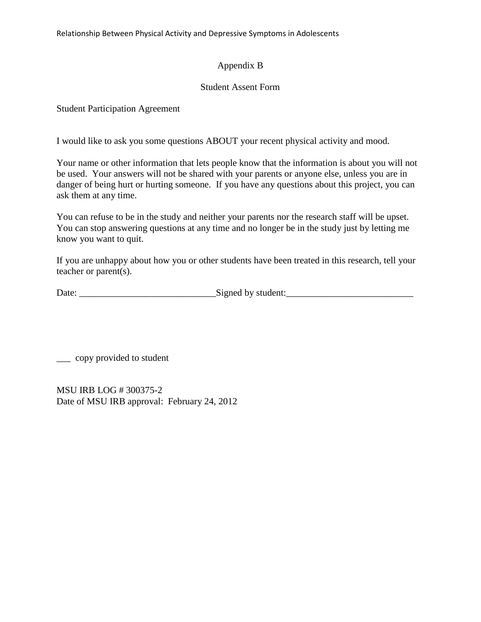Relationship Between Physical Activity and Depressive Symptoms in Adolescents

## Appendix B

## Student Assent Form

Student Participation Agreement

I would like to ask you some questions ABOUT your recent physical activity and mood.

Your name or other information that lets people know that the information is about you will not be used. Your answers will not be shared with your parents or anyone else, unless you are in danger of being hurt or hurting someone. If you have any questions about this project, you can ask them at any time.

You can refuse to be in the study and neither your parents nor the research staff will be upset. You can stop answering questions at any time and no longer be in the study just by letting me know you want to quit.

If you are unhappy about how you or other students have been treated in this research, tell your teacher or parent(s).

| Date: | Signed by student: |
|-------|--------------------|
|       |                    |

\_\_\_ copy provided to student

MSU IRB LOG # 300375-2 Date of MSU IRB approval: February 24, 2012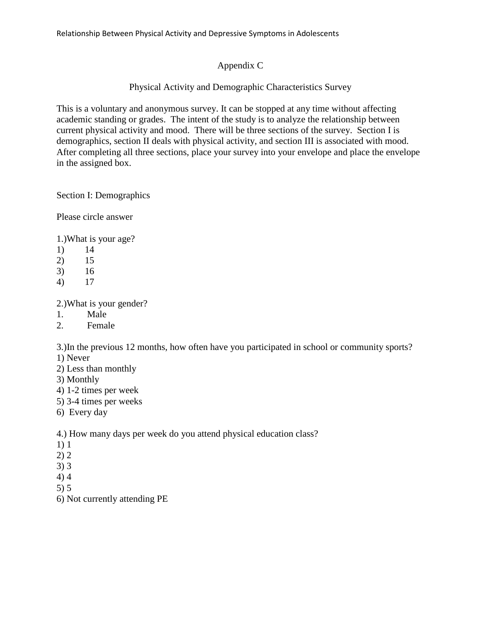# Appendix C

# Physical Activity and Demographic Characteristics Survey

This is a voluntary and anonymous survey. It can be stopped at any time without affecting academic standing or grades. The intent of the study is to analyze the relationship between current physical activity and mood. There will be three sections of the survey. Section I is demographics, section II deals with physical activity, and section III is associated with mood. After completing all three sections, place your survey into your envelope and place the envelope in the assigned box.

Section I: Demographics

Please circle answer

1.)What is your age?

- 1) 14
- 2) 15
- 3) 16
- 4) 17

2.)What is your gender?

- 1. Male
- 2. Female

3.)In the previous 12 months, how often have you participated in school or community sports?

- 1) Never
- 2) Less than monthly
- 3) Monthly
- 4) 1-2 times per week
- 5) 3-4 times per weeks
- 6) Every day

4.) How many days per week do you attend physical education class?

- 1) 1
- 2) 2
- 3) 3
- 4) 4
- 5) 5
- 6) Not currently attending PE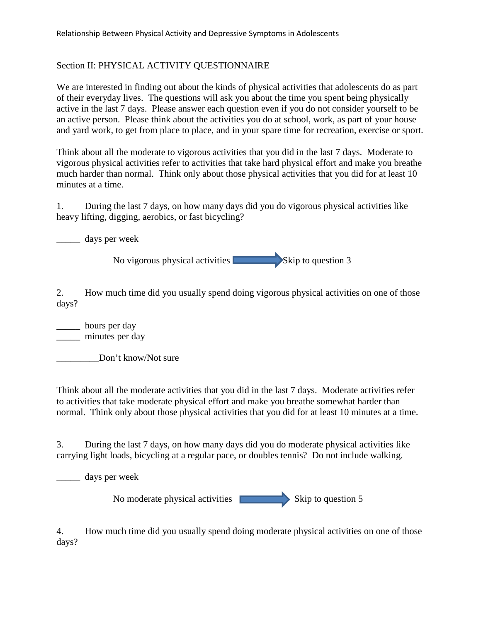# Section II: PHYSICAL ACTIVITY QUESTIONNAIRE

We are interested in finding out about the kinds of physical activities that adolescents do as part of their everyday lives. The questions will ask you about the time you spent being physically active in the last 7 days. Please answer each question even if you do not consider yourself to be an active person. Please think about the activities you do at school, work, as part of your house and yard work, to get from place to place, and in your spare time for recreation, exercise or sport.

Think about all the moderate to vigorous activities that you did in the last 7 days. Moderate to vigorous physical activities refer to activities that take hard physical effort and make you breathe much harder than normal. Think only about those physical activities that you did for at least 10 minutes at a time.

1. During the last 7 days, on how many days did you do vigorous physical activities like heavy lifting, digging, aerobics, or fast bicycling?

\_\_\_\_\_ days per week

No vigorous physical activities  $\sim$  Skip to question 3

2. How much time did you usually spend doing vigorous physical activities on one of those days?

\_\_\_\_\_ hours per day \_\_\_\_\_ minutes per day

Don't know/Not sure

Think about all the moderate activities that you did in the last 7 days. Moderate activities refer to activities that take moderate physical effort and make you breathe somewhat harder than normal. Think only about those physical activities that you did for at least 10 minutes at a time.

3. During the last 7 days, on how many days did you do moderate physical activities like carrying light loads, bicycling at a regular pace, or doubles tennis? Do not include walking.

\_\_\_\_\_ days per week

No moderate physical activities  $\sim$  Skip to question 5

4. How much time did you usually spend doing moderate physical activities on one of those days?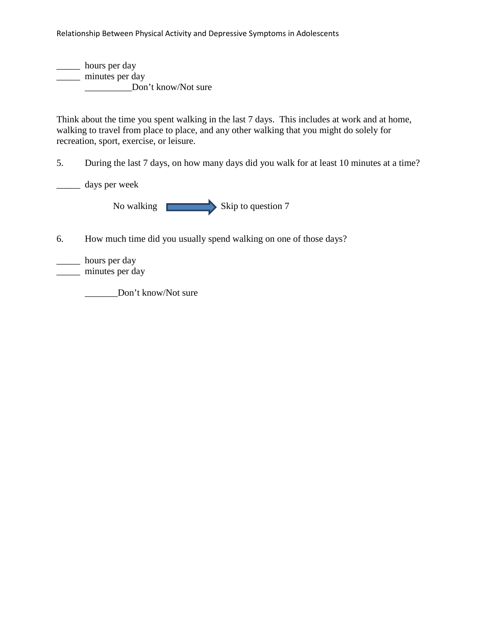Relationship Between Physical Activity and Depressive Symptoms in Adolescents

\_\_\_\_\_ hours per day \_\_\_\_\_ minutes per day \_\_\_\_\_\_\_\_\_\_Don't know/Not sure

Think about the time you spent walking in the last 7 days. This includes at work and at home, walking to travel from place to place, and any other walking that you might do solely for recreation, sport, exercise, or leisure.

5. During the last 7 days, on how many days did you walk for at least 10 minutes at a time?

\_\_\_\_\_ days per week

No walking  $\qquad \qquad$  Skip to question 7

6. How much time did you usually spend walking on one of those days?

\_\_\_\_\_ hours per day

\_\_\_\_\_ minutes per day

\_\_\_\_\_\_\_Don't know/Not sure